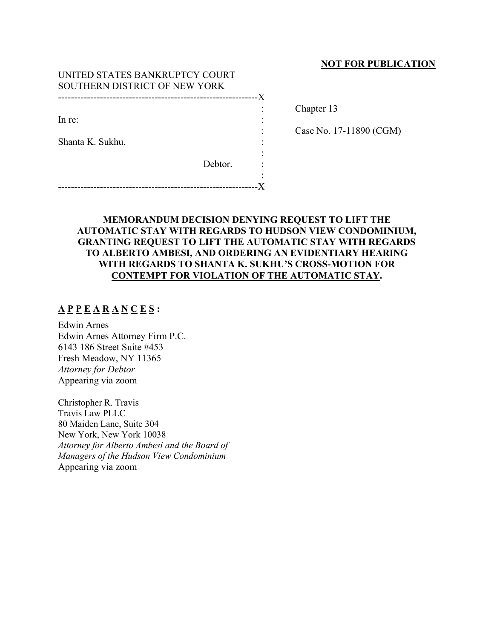### **NOT FOR PUBLICATION**

| UNITED STATES BANKRUPTCY COURT<br>SOUTHERN DISTRICT OF NEW YORK |         |    |
|-----------------------------------------------------------------|---------|----|
|                                                                 |         | -X |
|                                                                 |         |    |
| In re:                                                          |         |    |
|                                                                 |         |    |
| Shanta K. Sukhu,                                                |         |    |
|                                                                 |         |    |
|                                                                 | Debtor. |    |
|                                                                 |         |    |
| ----------------------                                          |         |    |

Chapter 13

: Case No. 17-11890 (CGM)

# **MEMORANDUM DECISION DENYING REQUEST TO LIFT THE AUTOMATIC STAY WITH REGARDS TO HUDSON VIEW CONDOMINIUM, GRANTING REQUEST TO LIFT THE AUTOMATIC STAY WITH REGARDS TO ALBERTO AMBESI, AND ORDERING AN EVIDENTIARY HEARING WITH REGARDS TO SHANTA K. SUKHU'S CROSS-MOTION FOR CONTEMPT FOR VIOLATION OF THE AUTOMATIC STAY.**

# **A P P E A R A N C E S :**

Edwin Arnes Edwin Arnes Attorney Firm P.C. 6143 186 Street Suite #453 Fresh Meadow, NY 11365 *Attorney for Debtor*  Appearing via zoom

Christopher R. Travis Travis Law PLLC 80 Maiden Lane, Suite 304 New York, New York 10038 *Attorney for Alberto Ambesi and the Board of Managers of the Hudson View Condominium*  Appearing via zoom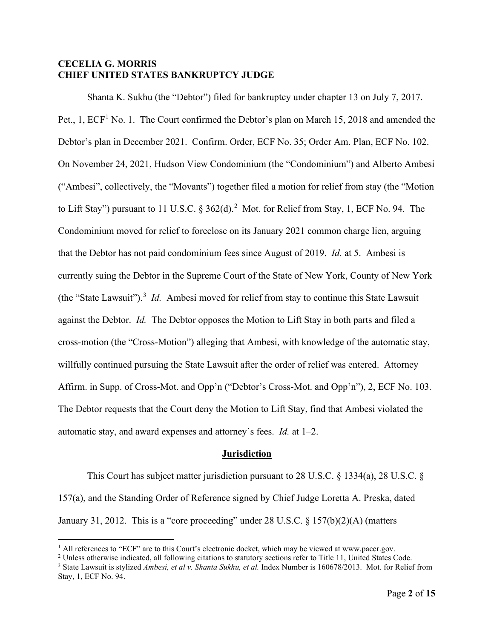## **CECELIA G. MORRIS CHIEF UNITED STATES BANKRUPTCY JUDGE**

Shanta K. Sukhu (the "Debtor") filed for bankruptcy under chapter 13 on July 7, 2017. Pet.,  $1, ECF<sup>1</sup>$  $1, ECF<sup>1</sup>$  No. 1. The Court confirmed the Debtor's plan on March 15, 2018 and amended the Debtor's plan in December 2021. Confirm. Order, ECF No. 35; Order Am. Plan, ECF No. 102. On November 24, 2021, Hudson View Condominium (the "Condominium") and Alberto Ambesi ("Ambesi", collectively, the "Movants") together filed a motion for relief from stay (the "Motion to Lift Stay") pursuant to 11 U.S.C.  $\S 362(d)$  $\S 362(d)$  $\S 362(d)$ .<sup>2</sup> Mot. for Relief from Stay, 1, ECF No. 94. The Condominium moved for relief to foreclose on its January 2021 common charge lien, arguing that the Debtor has not paid condominium fees since August of 2019. *Id.* at 5. Ambesi is currently suing the Debtor in the Supreme Court of the State of New York, County of New York (the "State Lawsuit"). [3](#page-1-2) *Id.* Ambesi moved for relief from stay to continue this State Lawsuit against the Debtor. *Id.* The Debtor opposes the Motion to Lift Stay in both parts and filed a cross-motion (the "Cross-Motion") alleging that Ambesi, with knowledge of the automatic stay, willfully continued pursuing the State Lawsuit after the order of relief was entered. Attorney Affirm. in Supp. of Cross-Mot. and Opp'n ("Debtor's Cross-Mot. and Opp'n"), 2, ECF No. 103. The Debtor requests that the Court deny the Motion to Lift Stay, find that Ambesi violated the automatic stay, and award expenses and attorney's fees. *Id.* at 1–2.

#### **Jurisdiction**

This Court has subject matter jurisdiction pursuant to 28 U.S.C. § 1334(a), 28 U.S.C. § 157(a), and the Standing Order of Reference signed by Chief Judge Loretta A. Preska, dated January 31, 2012. This is a "core proceeding" under 28 U.S.C. § 157(b)(2)(A) (matters

<span id="page-1-0"></span> $<sup>1</sup>$  All references to "ECF" are to this Court's electronic docket, which may be viewed at www.pacer.gov.</sup>

<span id="page-1-1"></span><sup>2</sup> Unless otherwise indicated, all following citations to statutory sections refer to Title 11, United States Code.

<span id="page-1-2"></span><sup>3</sup> State Lawsuit is stylized *Ambesi, et al v. Shanta Sukhu, et al.* Index Number is 160678/2013. Mot. for Relief from Stay, 1, ECF No. 94.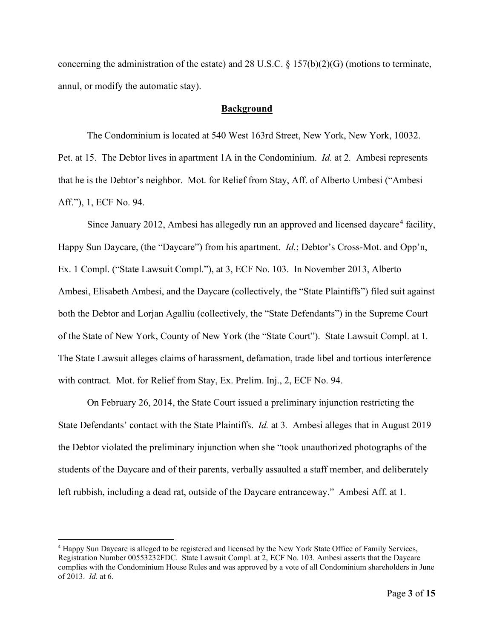concerning the administration of the estate) and 28 U.S.C. § 157(b)(2)(G) (motions to terminate, annul, or modify the automatic stay).

### **Background**

The Condominium is located at 540 West 163rd Street, New York, New York, 10032. Pet. at 15. The Debtor lives in apartment 1A in the Condominium. *Id.* at 2*.* Ambesi represents that he is the Debtor's neighbor. Mot. for Relief from Stay, Aff. of Alberto Umbesi ("Ambesi Aff."), 1, ECF No. 94.

Since January 2012, Ambesi has allegedly run an approved and licensed daycare<sup>[4](#page-2-0)</sup> facility, Happy Sun Daycare, (the "Daycare") from his apartment. *Id.*; Debtor's Cross-Mot. and Opp'n, Ex. 1 Compl. ("State Lawsuit Compl."), at 3, ECF No. 103. In November 2013, Alberto Ambesi, Elisabeth Ambesi, and the Daycare (collectively, the "State Plaintiffs") filed suit against both the Debtor and Lorjan Agalliu (collectively, the "State Defendants") in the Supreme Court of the State of New York, County of New York (the "State Court"). State Lawsuit Compl. at 1*.* The State Lawsuit alleges claims of harassment, defamation, trade libel and tortious interference with contract. Mot. for Relief from Stay, Ex. Prelim. Inj., 2, ECF No. 94.

On February 26, 2014, the State Court issued a preliminary injunction restricting the State Defendants' contact with the State Plaintiffs. *Id.* at 3*.* Ambesi alleges that in August 2019 the Debtor violated the preliminary injunction when she "took unauthorized photographs of the students of the Daycare and of their parents, verbally assaulted a staff member, and deliberately left rubbish, including a dead rat, outside of the Daycare entranceway." Ambesi Aff. at 1.

<span id="page-2-0"></span><sup>4</sup> Happy Sun Daycare is alleged to be registered and licensed by the New York State Office of Family Services, Registration Number 00553232FDC. State Lawsuit Compl. at 2, ECF No. 103. Ambesi asserts that the Daycare complies with the Condominium House Rules and was approved by a vote of all Condominium shareholders in June of 2013. *Id.* at 6.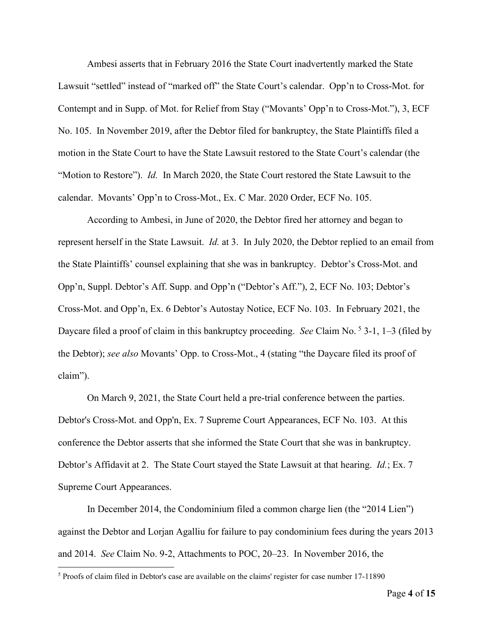Ambesi asserts that in February 2016 the State Court inadvertently marked the State Lawsuit "settled" instead of "marked off" the State Court's calendar. Opp'n to Cross-Mot. for Contempt and in Supp. of Mot. for Relief from Stay ("Movants' Opp'n to Cross-Mot."), 3, ECF No. 105. In November 2019, after the Debtor filed for bankruptcy, the State Plaintiffs filed a motion in the State Court to have the State Lawsuit restored to the State Court's calendar (the "Motion to Restore"). *Id.* In March 2020, the State Court restored the State Lawsuit to the calendar. Movants' Opp'n to Cross-Mot., Ex. C Mar. 2020 Order, ECF No. 105.

According to Ambesi, in June of 2020, the Debtor fired her attorney and began to represent herself in the State Lawsuit. *Id.* at 3. In July 2020, the Debtor replied to an email from the State Plaintiffs' counsel explaining that she was in bankruptcy. Debtor's Cross-Mot. and Opp'n, Suppl. Debtor's Aff. Supp. and Opp'n ("Debtor's Aff."), 2, ECF No. 103; Debtor's Cross-Mot. and Opp'n, Ex. 6 Debtor's Autostay Notice, ECF No. 103. In February 2021, the Daycare filed a proof of claim in this bankruptcy proceeding. *See* Claim No. [5](#page-3-0) 3-1, 1–3 (filed by the Debtor); *see also* Movants' Opp. to Cross-Mot., 4 (stating "the Daycare filed its proof of claim").

On March 9, 2021, the State Court held a pre-trial conference between the parties. Debtor's Cross-Mot. and Opp'n, Ex. 7 Supreme Court Appearances, ECF No. 103. At this conference the Debtor asserts that she informed the State Court that she was in bankruptcy. Debtor's Affidavit at 2. The State Court stayed the State Lawsuit at that hearing. *Id.*; Ex. 7 Supreme Court Appearances.

In December 2014, the Condominium filed a common charge lien (the "2014 Lien") against the Debtor and Lorjan Agalliu for failure to pay condominium fees during the years 2013 and 2014. *See* Claim No. 9-2, Attachments to POC, 20–23. In November 2016, the

<span id="page-3-0"></span><sup>5</sup> Proofs of claim filed in Debtor's case are available on the claims' register for case number 17-11890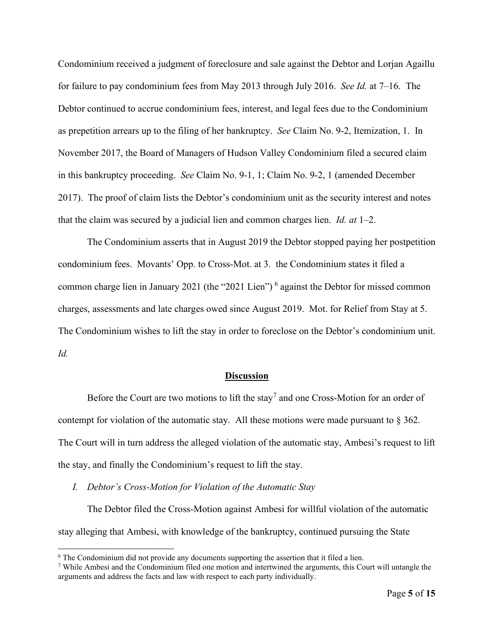Condominium received a judgment of foreclosure and sale against the Debtor and Lorjan Agaillu for failure to pay condominium fees from May 2013 through July 2016. *See Id.* at 7–16. The Debtor continued to accrue condominium fees, interest, and legal fees due to the Condominium as prepetition arrears up to the filing of her bankruptcy. *See* Claim No. 9-2, Itemization, 1. In November 2017, the Board of Managers of Hudson Valley Condominium filed a secured claim in this bankruptcy proceeding. *See* Claim No. 9-1, 1; Claim No. 9-2, 1 (amended December 2017). The proof of claim lists the Debtor's condominium unit as the security interest and notes that the claim was secured by a judicial lien and common charges lien. *Id. at* 1–2.

The Condominium asserts that in August 2019 the Debtor stopped paying her postpetition condominium fees. Movants' Opp. to Cross-Mot. at 3. the Condominium states it filed a common charge lien in January 2021 (the "2021 Lien")<sup>[6](#page-4-0)</sup> against the Debtor for missed common charges, assessments and late charges owed since August 2019. Mot. for Relief from Stay at 5. The Condominium wishes to lift the stay in order to foreclose on the Debtor's condominium unit. *Id.*

#### **Discussion**

Before the Court are two motions to lift the stay<sup>[7](#page-4-1)</sup> and one Cross-Motion for an order of contempt for violation of the automatic stay. All these motions were made pursuant to § 362. The Court will in turn address the alleged violation of the automatic stay, Ambesi's request to lift the stay, and finally the Condominium's request to lift the stay.

*I. Debtor's Cross-Motion for Violation of the Automatic Stay*

The Debtor filed the Cross-Motion against Ambesi for willful violation of the automatic stay alleging that Ambesi, with knowledge of the bankruptcy, continued pursuing the State

<span id="page-4-0"></span> $6$  The Condominium did not provide any documents supporting the assertion that it filed a lien.

<span id="page-4-1"></span><sup>&</sup>lt;sup>7</sup> While Ambesi and the Condominium filed one motion and intertwined the arguments, this Court will untangle the arguments and address the facts and law with respect to each party individually.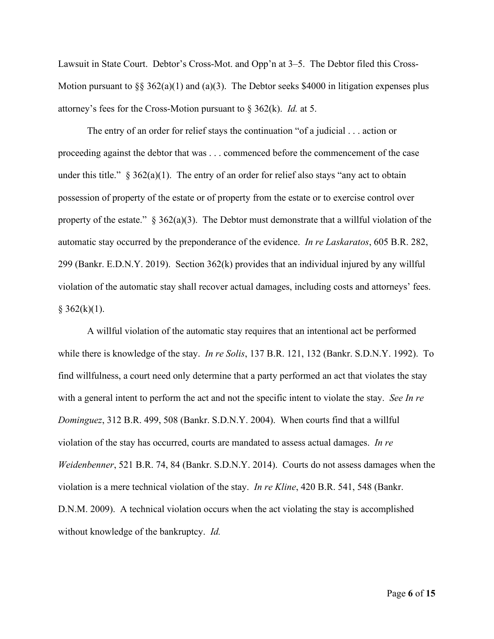Lawsuit in State Court. Debtor's Cross-Mot. and Opp'n at 3–5. The Debtor filed this Cross-Motion pursuant to  $\S$ § 362(a)(1) and (a)(3). The Debtor seeks \$4000 in litigation expenses plus attorney's fees for the Cross-Motion pursuant to § 362(k). *Id.* at 5.

The entry of an order for relief stays the continuation "of a judicial . . . action or proceeding against the debtor that was . . . commenced before the commencement of the case under this title."  $\S 362(a)(1)$ . The entry of an order for relief also stays "any act to obtain possession of property of the estate or of property from the estate or to exercise control over property of the estate."  $\S$  362(a)(3). The Debtor must demonstrate that a willful violation of the automatic stay occurred by the preponderance of the evidence. *In re Laskaratos*, 605 B.R. 282, 299 (Bankr. E.D.N.Y. 2019). Section 362(k) provides that an individual injured by any willful violation of the automatic stay shall recover actual damages, including costs and attorneys' fees.  $§ 362(k)(1).$ 

A willful violation of the automatic stay requires that an intentional act be performed while there is knowledge of the stay. *In re Solis*, 137 B.R. 121, 132 (Bankr. S.D.N.Y. 1992). To find willfulness, a court need only determine that a party performed an act that violates the stay with a general intent to perform the act and not the specific intent to violate the stay. *See In re Dominguez*, 312 B.R. 499, 508 (Bankr. S.D.N.Y. 2004). When courts find that a willful violation of the stay has occurred, courts are mandated to assess actual damages. *In re Weidenbenner*, 521 B.R. 74, 84 (Bankr. S.D.N.Y. 2014). Courts do not assess damages when the violation is a mere technical violation of the stay. *In re Kline*, 420 B.R. 541, 548 (Bankr. D.N.M. 2009). A technical violation occurs when the act violating the stay is accomplished without knowledge of the bankruptcy. *Id.*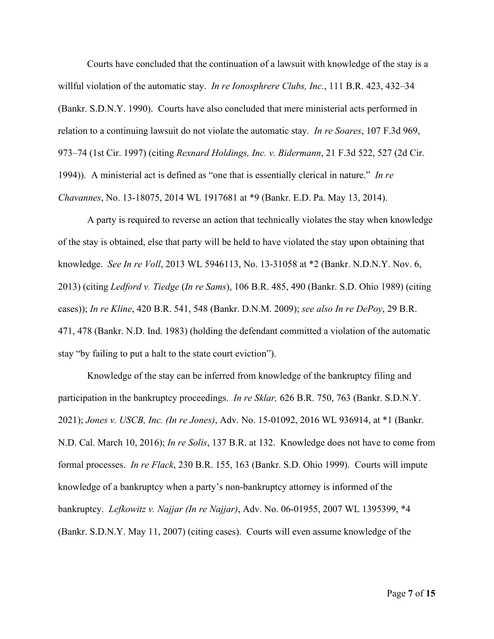Courts have concluded that the continuation of a lawsuit with knowledge of the stay is a willful violation of the automatic stay. *In re Ionosphrere Clubs, Inc.*, 111 B.R. 423, 432–34 (Bankr. S.D.N.Y. 1990). Courts have also concluded that mere ministerial acts performed in relation to a continuing lawsuit do not violate the automatic stay. *In re Soares*, 107 F.3d 969, 973–74 (1st Cir. 1997) (citing *Rexnard Holdings, Inc. v. Bidermann*, 21 F.3d 522, 527 (2d Cir. 1994)). A ministerial act is defined as "one that is essentially clerical in nature." *In re Chavannes*, No. 13-18075, 2014 WL 1917681 at \*9 (Bankr. E.D. Pa. May 13, 2014).

A party is required to reverse an action that technically violates the stay when knowledge of the stay is obtained, else that party will be held to have violated the stay upon obtaining that knowledge. *See In re Voll*, 2013 WL 5946113, No. 13-31058 at \*2 (Bankr. N.D.N.Y. Nov. 6, 2013) (citing *Ledford v. Tiedge* (*In re Sams*), 106 B.R. 485, 490 (Bankr. S.D. Ohio 1989) (citing cases)); *In re Kline*, 420 B.R. 541, 548 (Bankr. D.N.M. 2009); *see also In re DePoy*, 29 B.R. 471, 478 (Bankr. N.D. Ind. 1983) (holding the defendant committed a violation of the automatic stay "by failing to put a halt to the state court eviction").

Knowledge of the stay can be inferred from knowledge of the bankruptcy filing and participation in the bankruptcy proceedings. *In re Sklar,* 626 B.R. 750, 763 (Bankr. S.D.N.Y. 2021); *Jones v. USCB, Inc. (In re Jones)*, Adv. No. 15-01092, 2016 WL 936914, at \*1 (Bankr. N.D. Cal. March 10, 2016); *In re Solis*, 137 B.R. at 132. Knowledge does not have to come from formal processes. *In re Flack*, 230 B.R. 155, 163 (Bankr. S.D. Ohio 1999). Courts will impute knowledge of a bankruptcy when a party's non-bankruptcy attorney is informed of the bankruptcy. *Lefkowitz v. Najjar (In re Najjar)*, Adv. No. 06-01955, 2007 WL 1395399, \*4 (Bankr. S.D.N.Y. May 11, 2007) (citing cases). Courts will even assume knowledge of the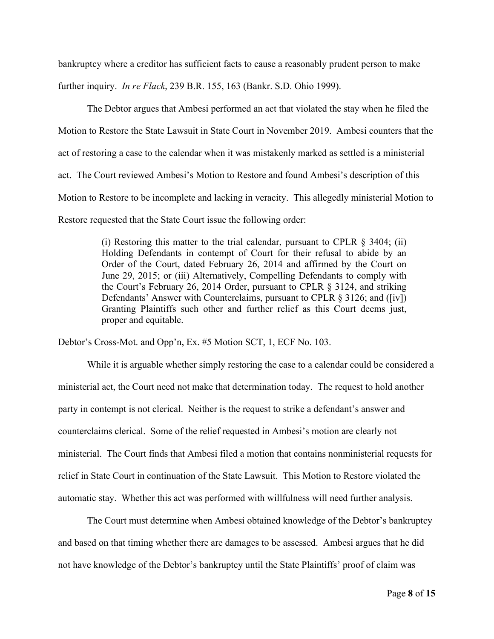bankruptcy where a creditor has sufficient facts to cause a reasonably prudent person to make further inquiry. *In re Flack*, 239 B.R. 155, 163 (Bankr. S.D. Ohio 1999).

The Debtor argues that Ambesi performed an act that violated the stay when he filed the Motion to Restore the State Lawsuit in State Court in November 2019. Ambesi counters that the act of restoring a case to the calendar when it was mistakenly marked as settled is a ministerial act. The Court reviewed Ambesi's Motion to Restore and found Ambesi's description of this Motion to Restore to be incomplete and lacking in veracity. This allegedly ministerial Motion to Restore requested that the State Court issue the following order:

> (i) Restoring this matter to the trial calendar, pursuant to CPLR  $\S$  3404; (ii) Holding Defendants in contempt of Court for their refusal to abide by an Order of the Court, dated February 26, 2014 and affirmed by the Court on June 29, 2015; or (iii) Alternatively, Compelling Defendants to comply with the Court's February 26, 2014 Order, pursuant to CPLR § 3124, and striking Defendants' Answer with Counterclaims, pursuant to CPLR  $\S 3126$ ; and ([iv]) Granting Plaintiffs such other and further relief as this Court deems just, proper and equitable.

Debtor's Cross-Mot. and Opp'n, Ex. #5 Motion SCT, 1, ECF No. 103.

While it is arguable whether simply restoring the case to a calendar could be considered a ministerial act, the Court need not make that determination today. The request to hold another party in contempt is not clerical. Neither is the request to strike a defendant's answer and counterclaims clerical. Some of the relief requested in Ambesi's motion are clearly not ministerial. The Court finds that Ambesi filed a motion that contains nonministerial requests for relief in State Court in continuation of the State Lawsuit. This Motion to Restore violated the automatic stay. Whether this act was performed with willfulness will need further analysis.

The Court must determine when Ambesi obtained knowledge of the Debtor's bankruptcy and based on that timing whether there are damages to be assessed. Ambesi argues that he did not have knowledge of the Debtor's bankruptcy until the State Plaintiffs' proof of claim was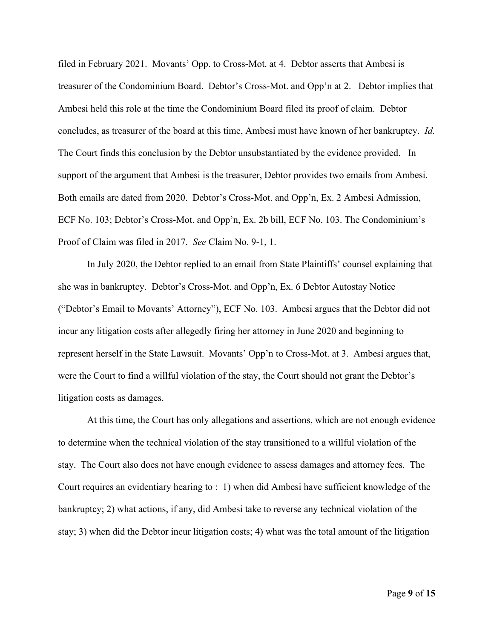filed in February 2021. Movants' Opp. to Cross-Mot. at 4. Debtor asserts that Ambesi is treasurer of the Condominium Board. Debtor's Cross-Mot. and Opp'n at 2. Debtor implies that Ambesi held this role at the time the Condominium Board filed its proof of claim. Debtor concludes, as treasurer of the board at this time, Ambesi must have known of her bankruptcy. *Id.* The Court finds this conclusion by the Debtor unsubstantiated by the evidence provided. In support of the argument that Ambesi is the treasurer, Debtor provides two emails from Ambesi. Both emails are dated from 2020. Debtor's Cross-Mot. and Opp'n, Ex. 2 Ambesi Admission, ECF No. 103; Debtor's Cross-Mot. and Opp'n, Ex. 2b bill, ECF No. 103. The Condominium's Proof of Claim was filed in 2017. *See* Claim No. 9-1, 1.

In July 2020, the Debtor replied to an email from State Plaintiffs' counsel explaining that she was in bankruptcy. Debtor's Cross-Mot. and Opp'n, Ex. 6 Debtor Autostay Notice ("Debtor's Email to Movants' Attorney"), ECF No. 103. Ambesi argues that the Debtor did not incur any litigation costs after allegedly firing her attorney in June 2020 and beginning to represent herself in the State Lawsuit. Movants' Opp'n to Cross-Mot. at 3. Ambesi argues that, were the Court to find a willful violation of the stay, the Court should not grant the Debtor's litigation costs as damages.

At this time, the Court has only allegations and assertions, which are not enough evidence to determine when the technical violation of the stay transitioned to a willful violation of the stay. The Court also does not have enough evidence to assess damages and attorney fees. The Court requires an evidentiary hearing to : 1) when did Ambesi have sufficient knowledge of the bankruptcy; 2) what actions, if any, did Ambesi take to reverse any technical violation of the stay; 3) when did the Debtor incur litigation costs; 4) what was the total amount of the litigation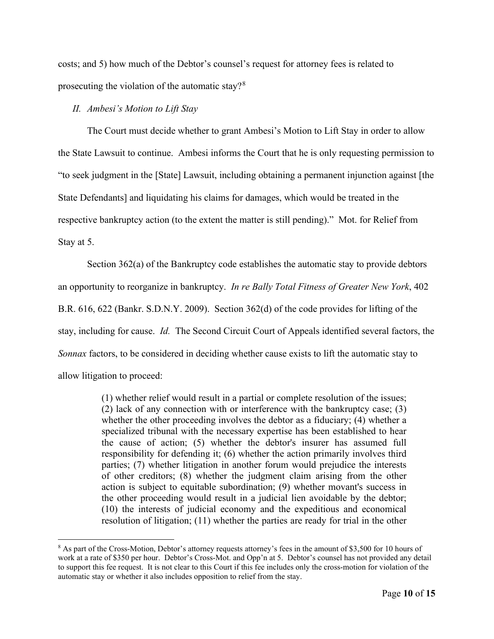costs; and 5) how much of the Debtor's counsel's request for attorney fees is related to prosecuting the violation of the automatic stay?<sup>[8](#page-9-0)</sup>

# *II. Ambesi's Motion to Lift Stay*

The Court must decide whether to grant Ambesi's Motion to Lift Stay in order to allow the State Lawsuit to continue. Ambesi informs the Court that he is only requesting permission to "to seek judgment in the [State] Lawsuit, including obtaining a permanent injunction against [the State Defendants] and liquidating his claims for damages, which would be treated in the respective bankruptcy action (to the extent the matter is still pending)." Mot. for Relief from Stay at 5.

Section 362(a) of the Bankruptcy code establishes the automatic stay to provide debtors an opportunity to reorganize in bankruptcy. *In re Bally Total Fitness of Greater New York*, 402 B.R. 616, 622 (Bankr. S.D.N.Y. 2009). Section 362(d) of the code provides for lifting of the stay, including for cause. *Id.* The Second Circuit Court of Appeals identified several factors, the *Sonnax* factors, to be considered in deciding whether cause exists to lift the automatic stay to allow litigation to proceed:

> (1) whether relief would result in a partial or complete resolution of the issues; (2) lack of any connection with or interference with the bankruptcy case; (3) whether the other proceeding involves the debtor as a fiduciary; (4) whether a specialized tribunal with the necessary expertise has been established to hear the cause of action; (5) whether the debtor's insurer has assumed full responsibility for defending it; (6) whether the action primarily involves third parties; (7) whether litigation in another forum would prejudice the interests of other creditors; (8) whether the judgment claim arising from the other action is subject to equitable subordination; (9) whether movant's success in the other proceeding would result in a judicial lien avoidable by the debtor; (10) the interests of judicial economy and the expeditious and economical resolution of litigation; (11) whether the parties are ready for trial in the other

<span id="page-9-0"></span><sup>&</sup>lt;sup>8</sup> As part of the Cross-Motion, Debtor's attorney requests attorney's fees in the amount of \$3,500 for 10 hours of work at a rate of \$350 per hour. Debtor's Cross-Mot. and Opp'n at 5. Debtor's counsel has not provided any detail to support this fee request. It is not clear to this Court if this fee includes only the cross-motion for violation of the automatic stay or whether it also includes opposition to relief from the stay.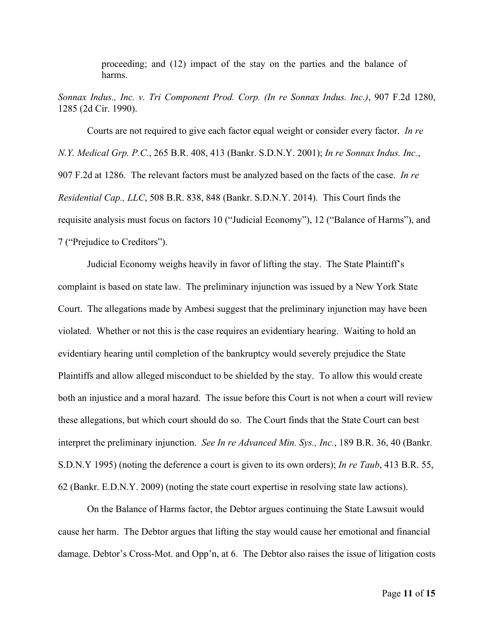proceeding; and (12) impact of the stay on the parties and the balance of harms.

*Sonnax Indus., Inc. v. Tri Component Prod. Corp. (In re Sonnax Indus. Inc.)*, 907 F.2d 1280, 1285 (2d Cir. 1990).

Courts are not required to give each factor equal weight or consider every factor. *In re N.Y. Medical Grp. P.C.*, 265 B.R. 408, 413 (Bankr. S.D.N.Y. 2001); *In re Sonnax Indus. Inc.*, 907 F.2d at 1286. The relevant factors must be analyzed based on the facts of the case. *In re Residential Cap., LLC*, 508 B.R. 838, 848 (Bankr. S.D.N.Y. 2014). This Court finds the requisite analysis must focus on factors 10 ("Judicial Economy"), 12 ("Balance of Harms"), and 7 ("Prejudice to Creditors").

Judicial Economy weighs heavily in favor of lifting the stay. The State Plaintiff's complaint is based on state law. The preliminary injunction was issued by a New York State Court. The allegations made by Ambesi suggest that the preliminary injunction may have been violated. Whether or not this is the case requires an evidentiary hearing. Waiting to hold an evidentiary hearing until completion of the bankruptcy would severely prejudice the State Plaintiffs and allow alleged misconduct to be shielded by the stay. To allow this would create both an injustice and a moral hazard. The issue before this Court is not when a court will review these allegations, but which court should do so. The Court finds that the State Court can best interpret the preliminary injunction. *See In re Advanced Min. Sys., Inc.*, 189 B.R. 36, 40 (Bankr. S.D.N.Y 1995) (noting the deference a court is given to its own orders); *In re Taub*, 413 B.R. 55, 62 (Bankr. E.D.N.Y. 2009) (noting the state court expertise in resolving state law actions).

On the Balance of Harms factor, the Debtor argues continuing the State Lawsuit would cause her harm. The Debtor argues that lifting the stay would cause her emotional and financial damage. Debtor's Cross-Mot. and Opp'n, at 6. The Debtor also raises the issue of litigation costs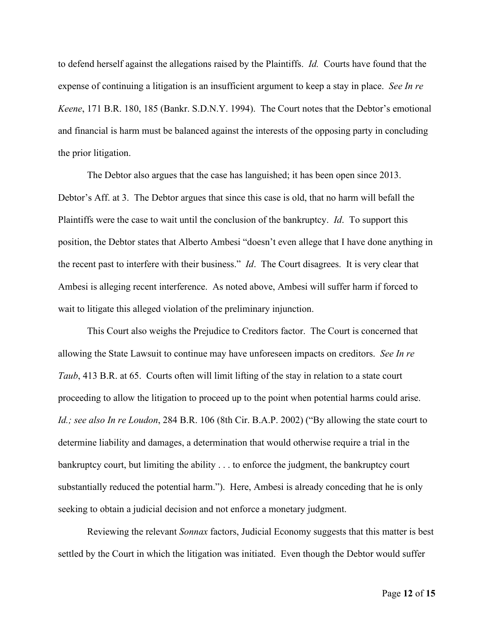to defend herself against the allegations raised by the Plaintiffs. *Id.* Courts have found that the expense of continuing a litigation is an insufficient argument to keep a stay in place. *See In re Keene*, 171 B.R. 180, 185 (Bankr. S.D.N.Y. 1994). The Court notes that the Debtor's emotional and financial is harm must be balanced against the interests of the opposing party in concluding the prior litigation.

The Debtor also argues that the case has languished; it has been open since 2013. Debtor's Aff. at 3. The Debtor argues that since this case is old, that no harm will befall the Plaintiffs were the case to wait until the conclusion of the bankruptcy. *Id*. To support this position, the Debtor states that Alberto Ambesi "doesn't even allege that I have done anything in the recent past to interfere with their business." *Id*. The Court disagrees. It is very clear that Ambesi is alleging recent interference. As noted above, Ambesi will suffer harm if forced to wait to litigate this alleged violation of the preliminary injunction.

This Court also weighs the Prejudice to Creditors factor. The Court is concerned that allowing the State Lawsuit to continue may have unforeseen impacts on creditors. *See In re Taub*, 413 B.R. at 65. Courts often will limit lifting of the stay in relation to a state court proceeding to allow the litigation to proceed up to the point when potential harms could arise. *Id.; see also In re Loudon*, 284 B.R. 106 (8th Cir. B.A.P. 2002) ("By allowing the state court to determine liability and damages, a determination that would otherwise require a trial in the bankruptcy court, but limiting the ability . . . to enforce the judgment, the bankruptcy court substantially reduced the potential harm."). Here, Ambesi is already conceding that he is only seeking to obtain a judicial decision and not enforce a monetary judgment.

Reviewing the relevant *Sonnax* factors, Judicial Economy suggests that this matter is best settled by the Court in which the litigation was initiated. Even though the Debtor would suffer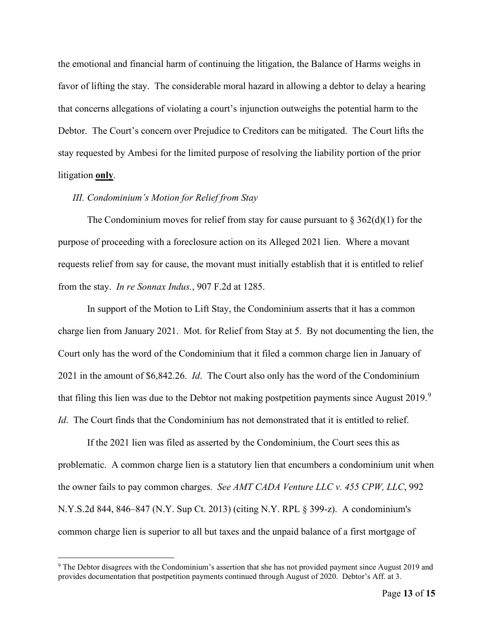the emotional and financial harm of continuing the litigation, the Balance of Harms weighs in favor of lifting the stay. The considerable moral hazard in allowing a debtor to delay a hearing that concerns allegations of violating a court's injunction outweighs the potential harm to the Debtor. The Court's concern over Prejudice to Creditors can be mitigated. The Court lifts the stay requested by Ambesi for the limited purpose of resolving the liability portion of the prior litigation **only**.

#### *III. Condominium's Motion for Relief from Stay*

The Condominium moves for relief from stay for cause pursuant to  $\S 362(d)(1)$  for the purpose of proceeding with a foreclosure action on its Alleged 2021 lien. Where a movant requests relief from say for cause, the movant must initially establish that it is entitled to relief from the stay. *In re Sonnax Indus.*, 907 F.2d at 1285.

In support of the Motion to Lift Stay, the Condominium asserts that it has a common charge lien from January 2021. Mot. for Relief from Stay at 5. By not documenting the lien, the Court only has the word of the Condominium that it filed a common charge lien in January of 2021 in the amount of \$6,842.26. *Id*. The Court also only has the word of the Condominium that filing this lien was due to the Debtor not making postpetition payments since August 201[9](#page-12-0).<sup>9</sup> *Id*. The Court finds that the Condominium has not demonstrated that it is entitled to relief.

If the 2021 lien was filed as asserted by the Condominium, the Court sees this as problematic. A common charge lien is a statutory lien that encumbers a condominium unit when the owner fails to pay common charges. *See AMT CADA Venture LLC v. 455 CPW, LLC*, 992 N.Y.S.2d 844, 846–847 (N.Y. Sup Ct. 2013) (citing N.Y. RPL § 399-z). A condominium's common charge lien is superior to all but taxes and the unpaid balance of a first mortgage of

<span id="page-12-0"></span><sup>&</sup>lt;sup>9</sup> The Debtor disagrees with the Condominium's assertion that she has not provided payment since August 2019 and provides documentation that postpetition payments continued through August of 2020. Debtor's Aff. at 3.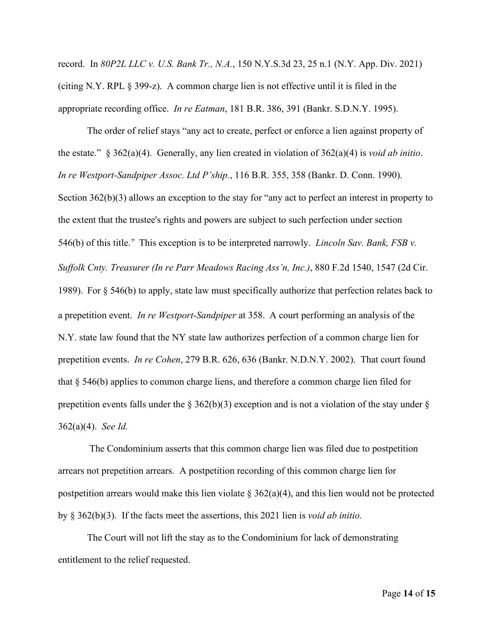record. In *80P2L LLC v. U.S. Bank Tr., N.A.*, 150 N.Y.S.3d 23, 25 n.1 (N.Y. App. Div. 2021) (citing N.Y. RPL § 399-z). A common charge lien is not effective until it is filed in the appropriate recording office. *In re Eatman*, 181 B.R. 386, 391 (Bankr. S.D.N.Y. 1995).

The order of relief stays "any act to create, perfect or enforce a lien against property of the estate." § 362(a)(4). Generally, any lien created in violation of 362(a)(4) is *void ab initio*. *In re Westport-Sandpiper Assoc. Ltd P'ship.*, 116 B.R. 355, 358 (Bankr. D. Conn. 1990). Section 362(b)(3) allows an exception to the stay for "any act to perfect an interest in property to the extent that the trustee's rights and powers are subject to such perfection under [section](https://1.next.westlaw.com/Link/Document/FullText?findType=L&pubNum=1000546&cite=11USCAS546&originatingDoc=I7d57bc566e9311d98778bd0185d69771&refType=RB&originationContext=document&transitionType=DocumentItem&ppcid=01fc66973e1d42b0b92aedaca8b6580a&contextData=(sc.Search)#co_pp_a83b000018c76)  [546\(b\)](https://1.next.westlaw.com/Link/Document/FullText?findType=L&pubNum=1000546&cite=11USCAS546&originatingDoc=I7d57bc566e9311d98778bd0185d69771&refType=RB&originationContext=document&transitionType=DocumentItem&ppcid=01fc66973e1d42b0b92aedaca8b6580a&contextData=(sc.Search)#co_pp_a83b000018c76) of this title." This exception is to be interpreted narrowly. *Lincoln Sav. Bank, FSB v. Suffolk Cnty. Treasurer (In re Parr Meadows Racing Ass'n, Inc.)*, 880 F.2d 1540, 1547 (2d Cir. 1989). For [§ 546\(b\)](https://1.next.westlaw.com/Link/Document/FullText?findType=L&pubNum=1000546&cite=11USCAS546&originatingDoc=I7d57bc566e9311d98778bd0185d69771&refType=RB&originationContext=document&transitionType=DocumentItem&ppcid=01fc66973e1d42b0b92aedaca8b6580a&contextData=(sc.Search)#co_pp_a83b000018c76) to apply, state law must specifically authorize that perfection relates back to a prepetition event. *In re Westport-Sandpiper* at 358. A court performing an analysis of the N.Y. state law found that the NY state law authorizes perfection of a common charge lien for prepetition events. *In re Cohen*, 279 B.R. 626, 636 (Bankr. N.D.N.Y. 2002). That court found that § 546(b) applies to common charge liens, and therefore a common charge lien filed for prepetition events falls under the  $\S$  362(b)(3) exception and is not a violation of the stay under  $\S$ 362(a)(4). *See Id.*

The Condominium asserts that this common charge lien was filed due to postpetition arrears not prepetition arrears. A postpetition recording of this common charge lien for postpetition arrears would make this lien violate  $\S 362(a)(4)$ , and this lien would not be protected by § 362(b)(3). If the facts meet the assertions, this 2021 lien is *void ab initio.*

The Court will not lift the stay as to the Condominium for lack of demonstrating entitlement to the relief requested.